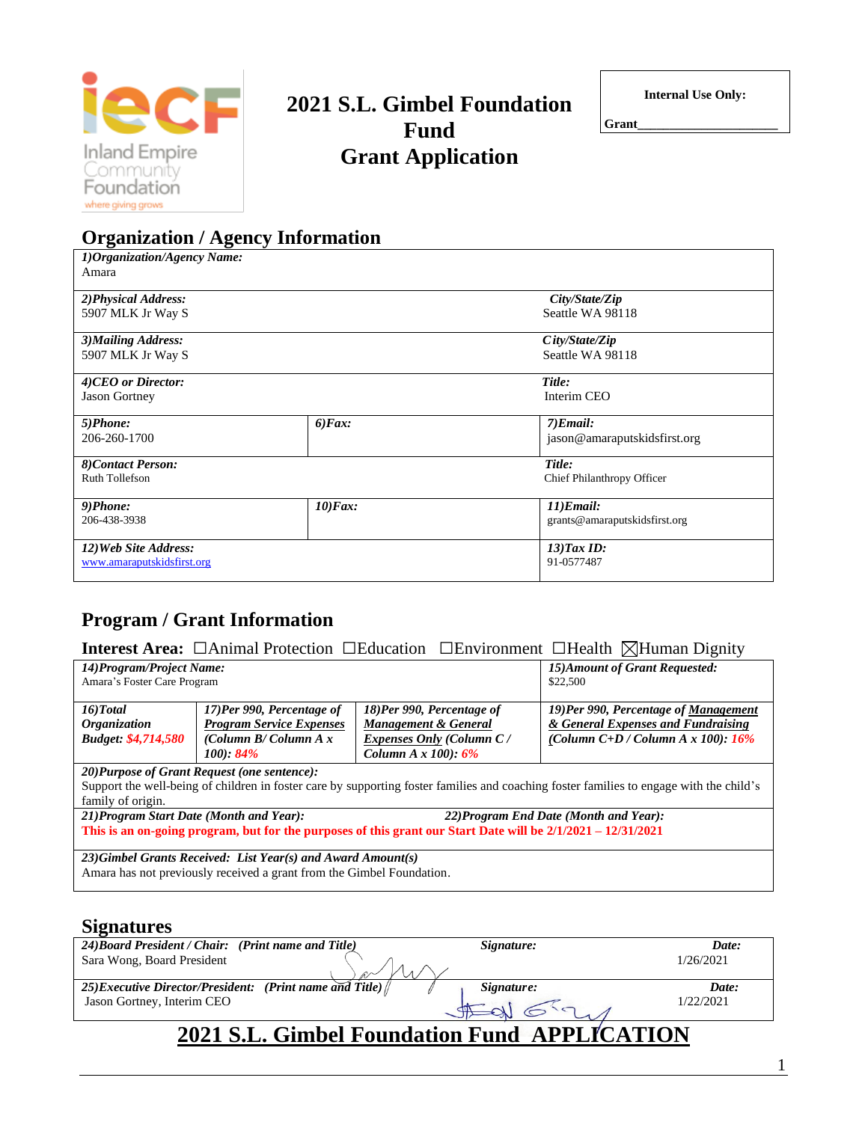

# **2021 S.L. Gimbel Foundation Fund Grant Application**

**Internal Use Only:**

**Grant\_\_\_\_\_\_\_\_\_\_\_\_\_\_\_\_\_\_\_\_\_\_**

| <b>Organization / Agency Information</b> |                  |                               |  |  |
|------------------------------------------|------------------|-------------------------------|--|--|
| 1) Organization/Agency Name:             |                  |                               |  |  |
| Amara                                    |                  |                               |  |  |
| 2) Physical Address:                     |                  | City/State/Zip                |  |  |
| 5907 MLK Jr Way S                        |                  | Seattle WA 98118              |  |  |
| 3) Mailing Address:                      |                  | City/State/Zip                |  |  |
| 5907 MLK Jr Way S                        |                  | Seattle WA 98118              |  |  |
| 4)CEO or Director:                       |                  | Title:                        |  |  |
| <b>Jason Gortney</b>                     |                  | Interim CEO                   |  |  |
| 5)Phone:                                 | $6$ <i>Fax</i> : | $7)$ <i>Email</i> :           |  |  |
| 206-260-1700                             |                  | jason@amaraputskidsfirst.org  |  |  |
| 8)Contact Person:                        |                  | Title:                        |  |  |
| Ruth Tollefson                           |                  | Chief Philanthropy Officer    |  |  |
| 9)Phone:                                 | $10)$ Fax:       | $11)$ <i>Email</i> :          |  |  |
| 206-438-3938                             |                  | grants@amaraputskidsfirst.org |  |  |
| 12) Web Site Address:                    |                  | $13$ ) $Tax$ $ID$ :           |  |  |
| www.amaraputskidsfirst.org               |                  | 91-0577487                    |  |  |

# **Program / Grant Information**

| <b>Interest Area:</b> □Animal Protection □Education □Environment □Health ⊠Human Dignity |
|-----------------------------------------------------------------------------------------|
|-----------------------------------------------------------------------------------------|

| 14) Program/Project Name:                                                                                    |                                              |                                 | 15) Amount of Grant Requested:                                                                                                          |  |
|--------------------------------------------------------------------------------------------------------------|----------------------------------------------|---------------------------------|-----------------------------------------------------------------------------------------------------------------------------------------|--|
| Amara's Foster Care Program                                                                                  |                                              |                                 | \$22,500                                                                                                                                |  |
| $16$ )Total                                                                                                  | 17)Per 990, Percentage of                    | 18)Per 990, Percentage of       | 19)Per 990, Percentage of Management                                                                                                    |  |
| <i><b>Organization</b></i>                                                                                   | <b>Program Service Expenses</b>              | Management & General            | & General Expenses and Fundraising                                                                                                      |  |
| <b>Budget: \$4,714,580</b>                                                                                   | (Column $B/C$ olumn $A x$                    | <b>Expenses Only (Column C/</b> | (Column C+D / Column A x 100): $16\%$                                                                                                   |  |
|                                                                                                              | 100:84%                                      | Column $A \times 100$ : $6\%$   |                                                                                                                                         |  |
|                                                                                                              | 20) Purpose of Grant Request (one sentence): |                                 |                                                                                                                                         |  |
|                                                                                                              |                                              |                                 | Support the well-being of children in foster care by supporting foster families and coaching foster families to engage with the child's |  |
| family of origin.                                                                                            |                                              |                                 |                                                                                                                                         |  |
| 21) Program Start Date (Month and Year):                                                                     |                                              |                                 | 22) Program End Date (Month and Year):                                                                                                  |  |
| This is an on-going program, but for the purposes of this grant our Start Date will be 2/1/2021 – 12/31/2021 |                                              |                                 |                                                                                                                                         |  |
| 23) Gimbel Grants Received: List Year(s) and Award Amount(s)                                                 |                                              |                                 |                                                                                                                                         |  |
| Amara has not previously received a grant from the Gimbel Foundation.                                        |                                              |                                 |                                                                                                                                         |  |
|                                                                                                              |                                              |                                 |                                                                                                                                         |  |

## **Signatures**

| 24) Board President / Chair: (Print name and Title)                  | Signature: | Date:     |  |  |
|----------------------------------------------------------------------|------------|-----------|--|--|
| Sara Wong, Board President                                           |            | 1/26/2021 |  |  |
|                                                                      |            |           |  |  |
| 25) Executive Director/President: (Print name and Title) $\parallel$ | Signature: | Date:     |  |  |
| Jason Gortney, Interim CEO                                           |            | 1/22/2021 |  |  |
| 2021 S.L. Gimbel Foundation Fund APPLICATION                         |            |           |  |  |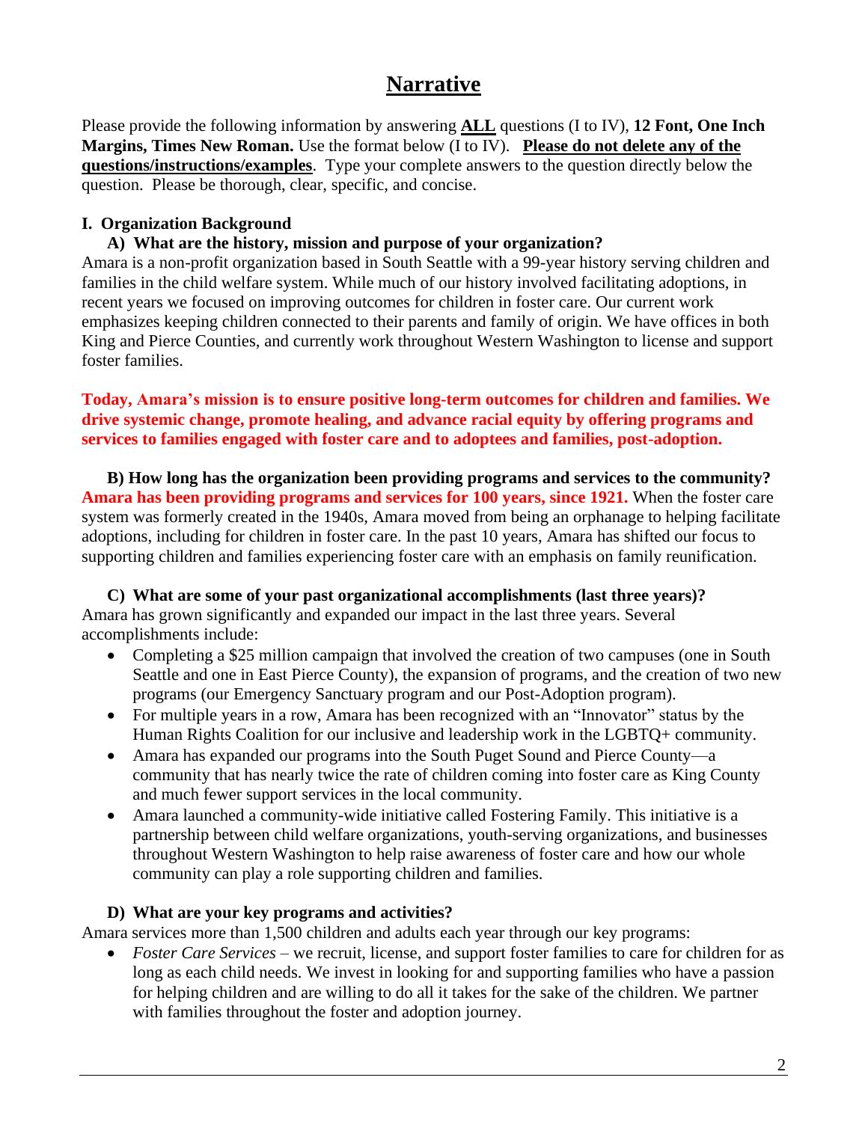# **Narrative**

Please provide the following information by answering **ALL** questions (I to IV), **12 Font, One Inch Margins, Times New Roman.** Use the format below (I to IV). **Please do not delete any of the questions/instructions/examples**. Type your complete answers to the question directly below the question. Please be thorough, clear, specific, and concise.

#### **I. Organization Background**

#### **A) What are the history, mission and purpose of your organization?**

Amara is a non-profit organization based in South Seattle with a 99-year history serving children and families in the child welfare system. While much of our history involved facilitating adoptions, in recent years we focused on improving outcomes for children in foster care. Our current work emphasizes keeping children connected to their parents and family of origin. We have offices in both King and Pierce Counties, and currently work throughout Western Washington to license and support foster families.

#### **Today, Amara's mission is to ensure positive long-term outcomes for children and families. We drive systemic change, promote healing, and advance racial equity by offering programs and services to families engaged with foster care and to adoptees and families, post-adoption.**

**B) How long has the organization been providing programs and services to the community? Amara has been providing programs and services for 100 years, since 1921.** When the foster care system was formerly created in the 1940s, Amara moved from being an orphanage to helping facilitate adoptions, including for children in foster care. In the past 10 years, Amara has shifted our focus to supporting children and families experiencing foster care with an emphasis on family reunification.

**C) What are some of your past organizational accomplishments (last three years)?** Amara has grown significantly and expanded our impact in the last three years. Several accomplishments include:

- Completing a \$25 million campaign that involved the creation of two campuses (one in South Seattle and one in East Pierce County), the expansion of programs, and the creation of two new programs (our Emergency Sanctuary program and our Post-Adoption program).
- For multiple years in a row, Amara has been recognized with an "Innovator" status by the Human Rights Coalition for our inclusive and leadership work in the LGBTQ+ community.
- Amara has expanded our programs into the South Puget Sound and Pierce County—a community that has nearly twice the rate of children coming into foster care as King County and much fewer support services in the local community.
- Amara launched a community-wide initiative called Fostering Family. This initiative is a partnership between child welfare organizations, youth-serving organizations, and businesses throughout Western Washington to help raise awareness of foster care and how our whole community can play a role supporting children and families.

#### **D) What are your key programs and activities?**

Amara services more than 1,500 children and adults each year through our key programs:

• *Foster Care Services* – we recruit, license, and support foster families to care for children for as long as each child needs. We invest in looking for and supporting families who have a passion for helping children and are willing to do all it takes for the sake of the children. We partner with families throughout the foster and adoption journey.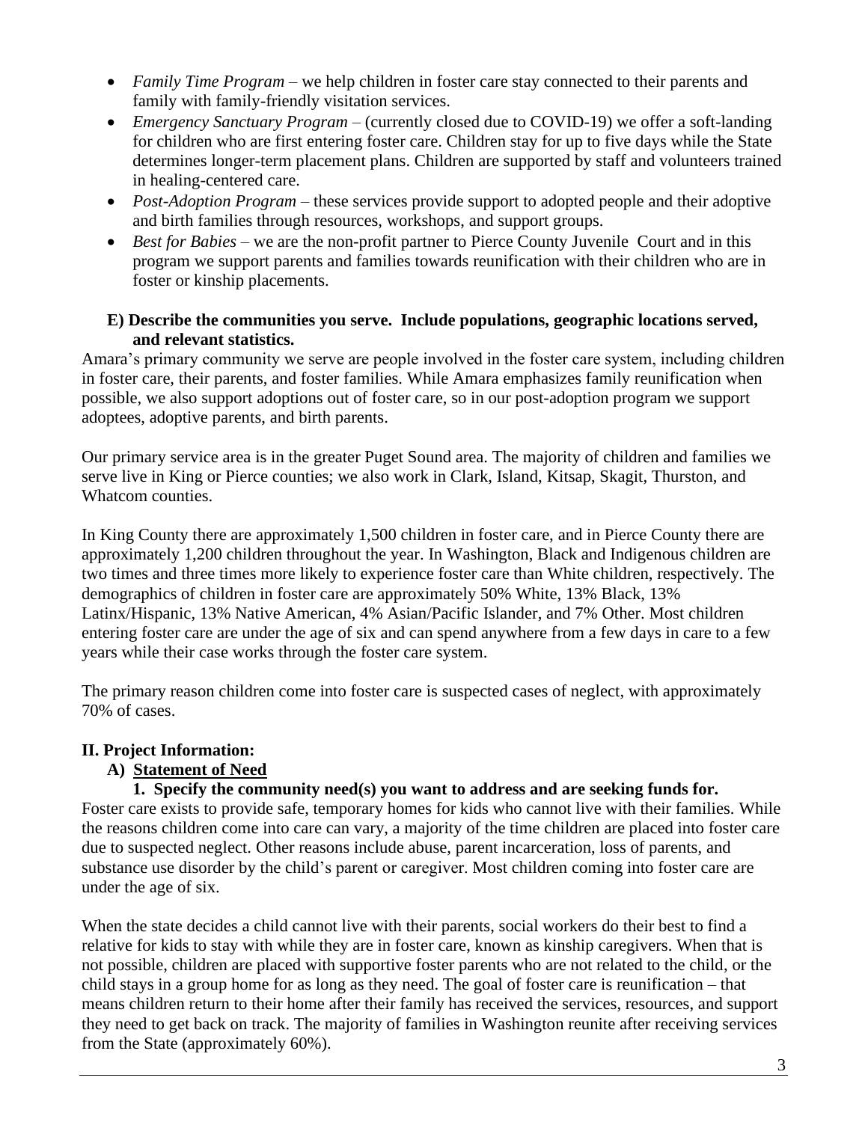- *Family Time Program* we help children in foster care stay connected to their parents and family with family-friendly visitation services.
- *Emergency Sanctuary Program* (currently closed due to COVID-19) we offer a soft-landing for children who are first entering foster care. Children stay for up to five days while the State determines longer-term placement plans. Children are supported by staff and volunteers trained in healing-centered care.
- *Post-Adoption Program* these services provide support to adopted people and their adoptive and birth families through resources, workshops, and support groups.
- *Best for Babies* we are the non-profit partner to Pierce County Juvenile Court and in this program we support parents and families towards reunification with their children who are in foster or kinship placements.

#### **E) Describe the communities you serve. Include populations, geographic locations served, and relevant statistics.**

Amara's primary community we serve are people involved in the foster care system, including children in foster care, their parents, and foster families. While Amara emphasizes family reunification when possible, we also support adoptions out of foster care, so in our post-adoption program we support adoptees, adoptive parents, and birth parents.

Our primary service area is in the greater Puget Sound area. The majority of children and families we serve live in King or Pierce counties; we also work in Clark, Island, Kitsap, Skagit, Thurston, and Whatcom counties.

In King County there are approximately 1,500 children in foster care, and in Pierce County there are approximately 1,200 children throughout the year. In Washington, Black and Indigenous children are two times and three times more likely to experience foster care than White children, respectively. The demographics of children in foster care are approximately 50% White, 13% Black, 13% Latinx/Hispanic, 13% Native American, 4% Asian/Pacific Islander, and 7% Other. Most children entering foster care are under the age of six and can spend anywhere from a few days in care to a few years while their case works through the foster care system.

The primary reason children come into foster care is suspected cases of neglect, with approximately 70% of cases.

## **II. Project Information:**

## **A) Statement of Need**

## **1. Specify the community need(s) you want to address and are seeking funds for.**

Foster care exists to provide safe, temporary homes for kids who cannot live with their families. While the reasons children come into care can vary, a majority of the time children are placed into foster care due to suspected neglect. Other reasons include abuse, parent incarceration, loss of parents, and substance use disorder by the child's parent or caregiver. Most children coming into foster care are under the age of six.

When the state decides a child cannot live with their parents, social workers do their best to find a relative for kids to stay with while they are in foster care, known as kinship caregivers. When that is not possible, children are placed with supportive foster parents who are not related to the child, or the child stays in a group home for as long as they need. The goal of foster care is reunification – that means children return to their home after their family has received the services, resources, and support they need to get back on track. The majority of families in Washington reunite after receiving services from the State (approximately 60%).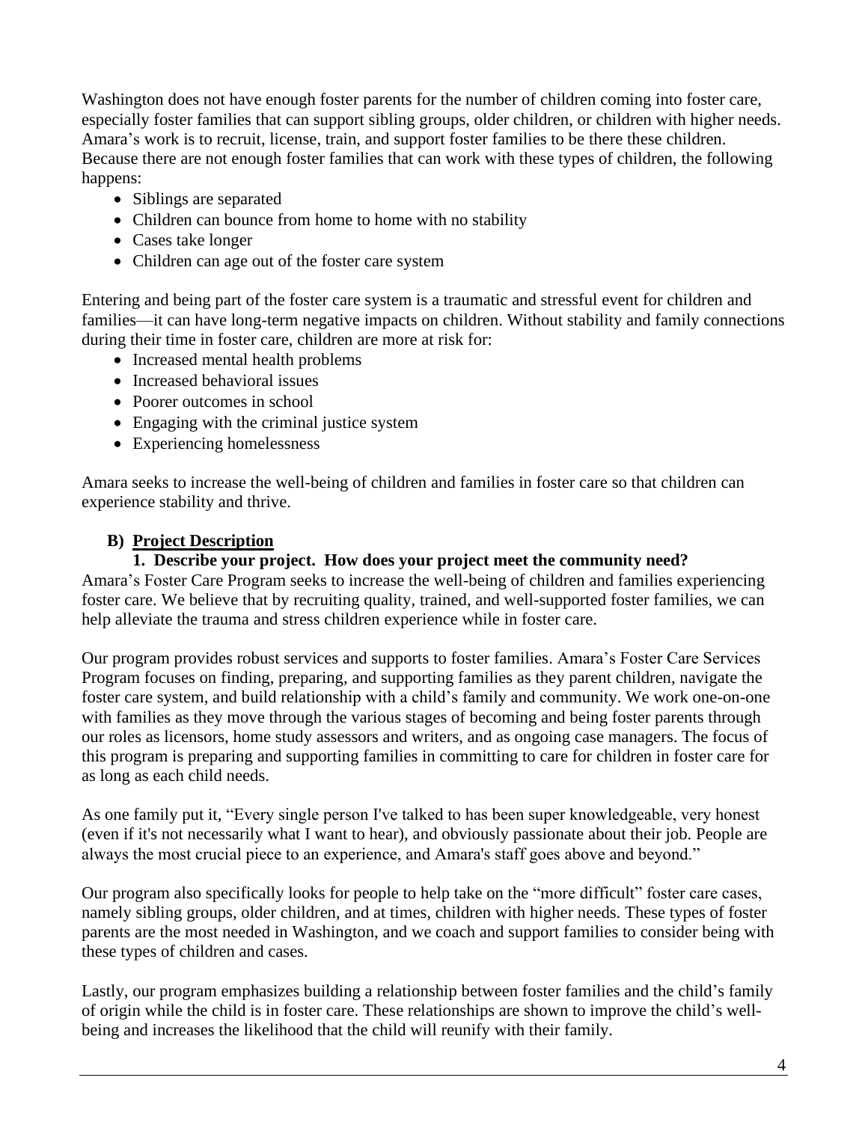Washington does not have enough foster parents for the number of children coming into foster care, especially foster families that can support sibling groups, older children, or children with higher needs. Amara's work is to recruit, license, train, and support foster families to be there these children. Because there are not enough foster families that can work with these types of children, the following happens:

- Siblings are separated
- Children can bounce from home to home with no stability
- Cases take longer
- Children can age out of the foster care system

Entering and being part of the foster care system is a traumatic and stressful event for children and families—it can have long-term negative impacts on children. Without stability and family connections during their time in foster care, children are more at risk for:

- Increased mental health problems
- Increased behavioral issues
- Poorer outcomes in school
- Engaging with the criminal justice system
- Experiencing homelessness

Amara seeks to increase the well-being of children and families in foster care so that children can experience stability and thrive.

## **B) Project Description**

#### **1. Describe your project. How does your project meet the community need?**

Amara's Foster Care Program seeks to increase the well-being of children and families experiencing foster care. We believe that by recruiting quality, trained, and well-supported foster families, we can help alleviate the trauma and stress children experience while in foster care.

Our program provides robust services and supports to foster families. Amara's Foster Care Services Program focuses on finding, preparing, and supporting families as they parent children, navigate the foster care system, and build relationship with a child's family and community. We work one-on-one with families as they move through the various stages of becoming and being foster parents through our roles as licensors, home study assessors and writers, and as ongoing case managers. The focus of this program is preparing and supporting families in committing to care for children in foster care for as long as each child needs.

As one family put it, "Every single person I've talked to has been super knowledgeable, very honest (even if it's not necessarily what I want to hear), and obviously passionate about their job. People are always the most crucial piece to an experience, and Amara's staff goes above and beyond."

Our program also specifically looks for people to help take on the "more difficult" foster care cases, namely sibling groups, older children, and at times, children with higher needs. These types of foster parents are the most needed in Washington, and we coach and support families to consider being with these types of children and cases.

Lastly, our program emphasizes building a relationship between foster families and the child's family of origin while the child is in foster care. These relationships are shown to improve the child's wellbeing and increases the likelihood that the child will reunify with their family.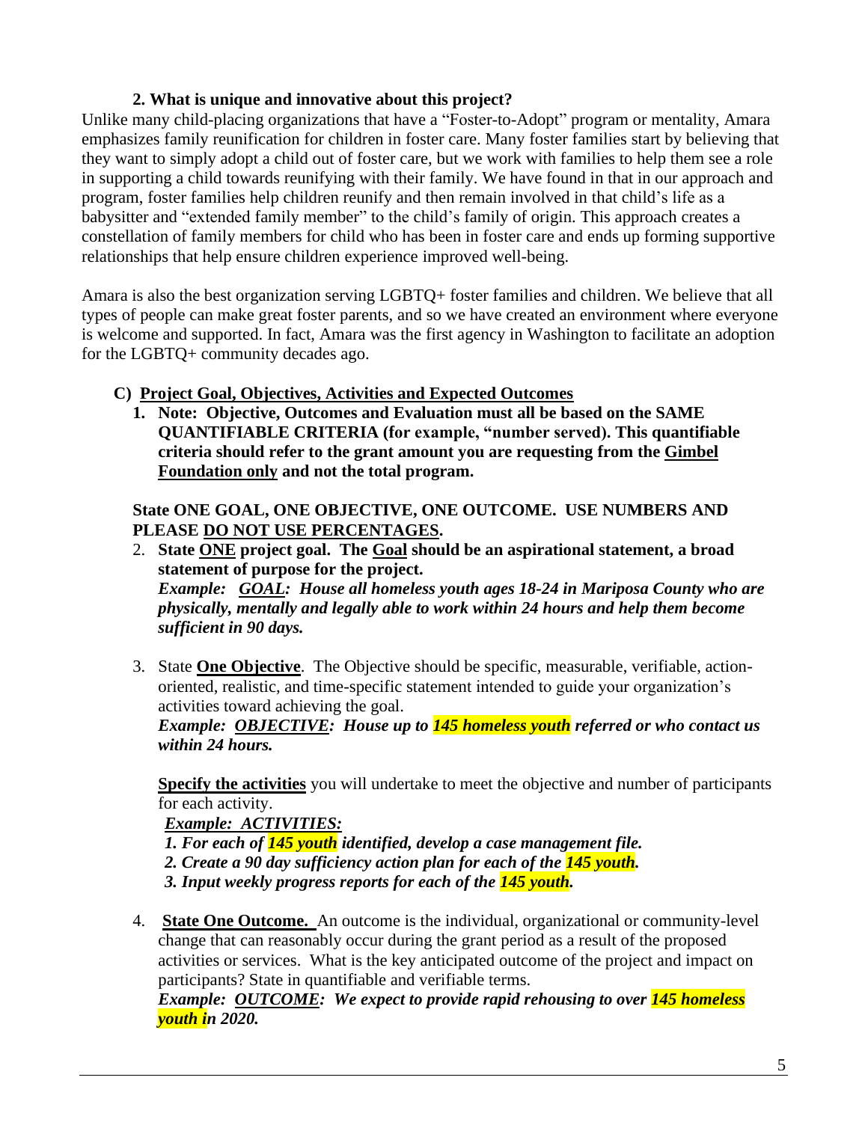#### **2. What is unique and innovative about this project?**

Unlike many child-placing organizations that have a "Foster-to-Adopt" program or mentality, Amara emphasizes family reunification for children in foster care. Many foster families start by believing that they want to simply adopt a child out of foster care, but we work with families to help them see a role in supporting a child towards reunifying with their family. We have found in that in our approach and program, foster families help children reunify and then remain involved in that child's life as a babysitter and "extended family member" to the child's family of origin. This approach creates a constellation of family members for child who has been in foster care and ends up forming supportive relationships that help ensure children experience improved well-being.

Amara is also the best organization serving LGBTQ+ foster families and children. We believe that all types of people can make great foster parents, and so we have created an environment where everyone is welcome and supported. In fact, Amara was the first agency in Washington to facilitate an adoption for the LGBTQ+ community decades ago.

- **C) Project Goal, Objectives, Activities and Expected Outcomes**
	- **1. Note: Objective, Outcomes and Evaluation must all be based on the SAME QUANTIFIABLE CRITERIA (for example, "number served). This quantifiable criteria should refer to the grant amount you are requesting from the Gimbel Foundation only and not the total program.**

**State ONE GOAL, ONE OBJECTIVE, ONE OUTCOME. USE NUMBERS AND PLEASE DO NOT USE PERCENTAGES.** 

2. **State ONE project goal. The Goal should be an aspirational statement, a broad statement of purpose for the project.**

*Example: GOAL: House all homeless youth ages 18-24 in Mariposa County who are physically, mentally and legally able to work within 24 hours and help them become sufficient in 90 days.*

3. State **One Objective**. The Objective should be specific, measurable, verifiable, actionoriented, realistic, and time-specific statement intended to guide your organization's activities toward achieving the goal.

*Example: OBJECTIVE: House up to 145 homeless youth referred or who contact us within 24 hours.*

**Specify the activities** you will undertake to meet the objective and number of participants for each activity.

*Example: ACTIVITIES:* 

- *1. For each of 145 youth identified, develop a case management file.*
- *2. Create a 90 day sufficiency action plan for each of the 145 youth.*
- *3. Input weekly progress reports for each of the 145 youth.*
- 4. **State One Outcome.** An outcome is the individual, organizational or community-level change that can reasonably occur during the grant period as a result of the proposed activities or services. What is the key anticipated outcome of the project and impact on participants? State in quantifiable and verifiable terms.

*Example: OUTCOME: We expect to provide rapid rehousing to over 145 homeless youth in 2020.*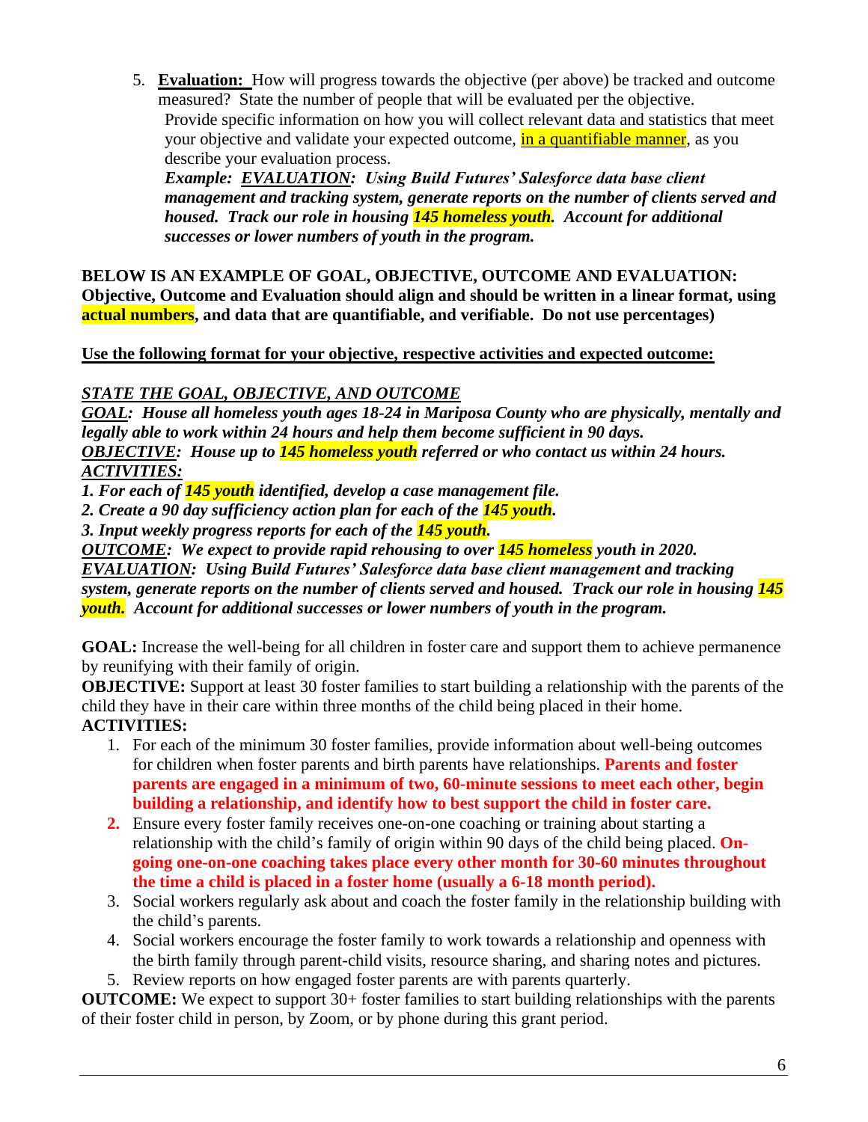5. **Evaluation:** How will progress towards the objective (per above) be tracked and outcome measured? State the number of people that will be evaluated per the objective. Provide specific information on how you will collect relevant data and statistics that meet your objective and validate your expected outcome, in a quantifiable manner, as you describe your evaluation process.

*Example: EVALUATION: Using Build Futures' Salesforce data base client management and tracking system, generate reports on the number of clients served and housed. Track our role in housing 145 homeless youth. Account for additional successes or lower numbers of youth in the program.*

**BELOW IS AN EXAMPLE OF GOAL, OBJECTIVE, OUTCOME AND EVALUATION: Objective, Outcome and Evaluation should align and should be written in a linear format, using actual numbers, and data that are quantifiable, and verifiable. Do not use percentages)**

## **Use the following format for your objective, respective activities and expected outcome:**

*STATE THE GOAL, OBJECTIVE, AND OUTCOME* 

*GOAL: House all homeless youth ages 18-24 in Mariposa County who are physically, mentally and legally able to work within 24 hours and help them become sufficient in 90 days. OBJECTIVE: House up to 145 homeless youth referred or who contact us within 24 hours. ACTIVITIES:* 

*1. For each of 145 youth identified, develop a case management file.*

*2. Create a 90 day sufficiency action plan for each of the 145 youth.*

*3. Input weekly progress reports for each of the 145 youth.*

*OUTCOME: We expect to provide rapid rehousing to over 145 homeless youth in 2020.*

*EVALUATION: Using Build Futures' Salesforce data base client management and tracking system, generate reports on the number of clients served and housed. Track our role in housing 145 youth. Account for additional successes or lower numbers of youth in the program.*

**GOAL:** Increase the well-being for all children in foster care and support them to achieve permanence by reunifying with their family of origin.

**OBJECTIVE:** Support at least 30 foster families to start building a relationship with the parents of the child they have in their care within three months of the child being placed in their home. **ACTIVITIES:**

- 1. For each of the minimum 30 foster families, provide information about well-being outcomes for children when foster parents and birth parents have relationships. **Parents and foster parents are engaged in a minimum of two, 60-minute sessions to meet each other, begin building a relationship, and identify how to best support the child in foster care.**
- **2.** Ensure every foster family receives one-on-one coaching or training about starting a relationship with the child's family of origin within 90 days of the child being placed. **Ongoing one-on-one coaching takes place every other month for 30-60 minutes throughout the time a child is placed in a foster home (usually a 6-18 month period).**
- 3. Social workers regularly ask about and coach the foster family in the relationship building with the child's parents.
- 4. Social workers encourage the foster family to work towards a relationship and openness with the birth family through parent-child visits, resource sharing, and sharing notes and pictures.
- 5. Review reports on how engaged foster parents are with parents quarterly.

**OUTCOME:** We expect to support 30+ foster families to start building relationships with the parents of their foster child in person, by Zoom, or by phone during this grant period.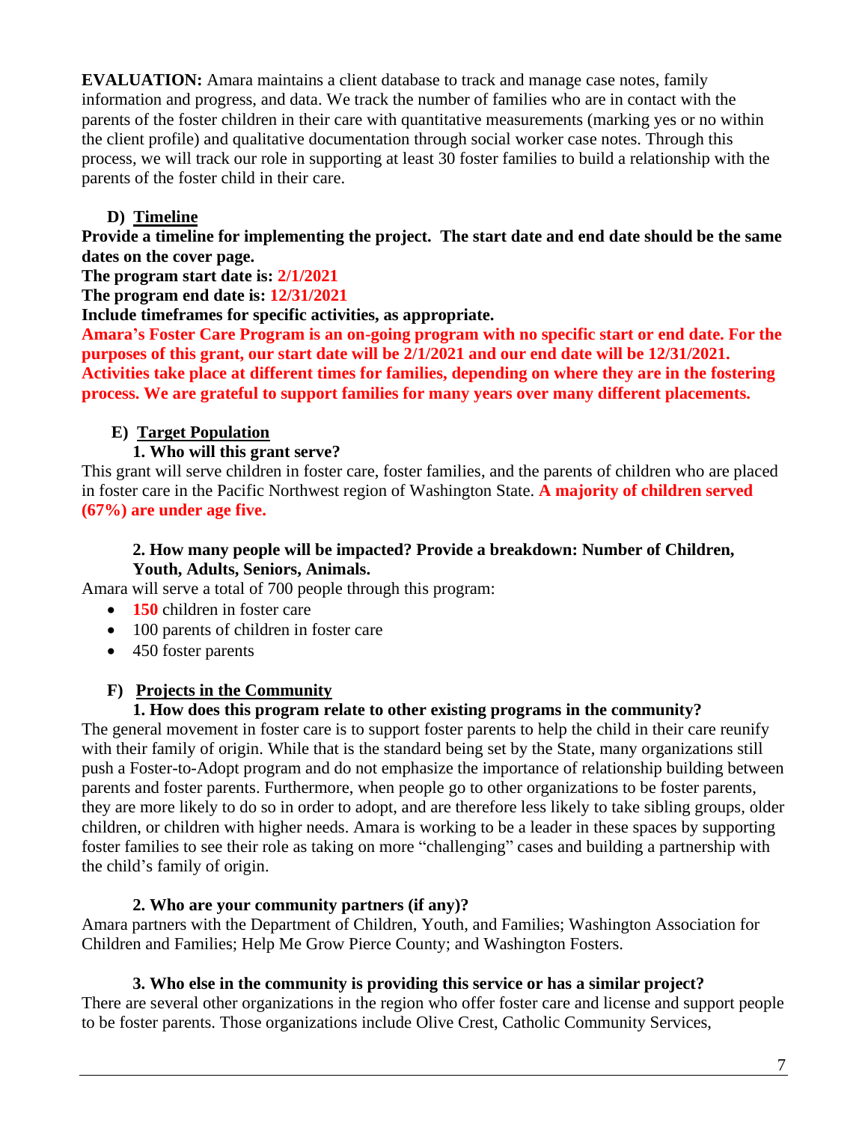**EVALUATION:** Amara maintains a client database to track and manage case notes, family information and progress, and data. We track the number of families who are in contact with the parents of the foster children in their care with quantitative measurements (marking yes or no within the client profile) and qualitative documentation through social worker case notes. Through this process, we will track our role in supporting at least 30 foster families to build a relationship with the parents of the foster child in their care.

## **D) Timeline**

**Provide a timeline for implementing the project. The start date and end date should be the same dates on the cover page.**

## **The program start date is: 2/1/2021**

**The program end date is: 12/31/2021**

**Include timeframes for specific activities, as appropriate.**

**Amara's Foster Care Program is an on-going program with no specific start or end date. For the purposes of this grant, our start date will be 2/1/2021 and our end date will be 12/31/2021. Activities take place at different times for families, depending on where they are in the fostering process. We are grateful to support families for many years over many different placements.** 

## **E) Target Population**

## **1. Who will this grant serve?**

This grant will serve children in foster care, foster families, and the parents of children who are placed in foster care in the Pacific Northwest region of Washington State. **A majority of children served (67%) are under age five.**

#### **2. How many people will be impacted? Provide a breakdown: Number of Children, Youth, Adults, Seniors, Animals.**

Amara will serve a total of 700 people through this program:

- **150** children in foster care
- 100 parents of children in foster care
- 450 foster parents

## **F) Projects in the Community**

## **1. How does this program relate to other existing programs in the community?**

The general movement in foster care is to support foster parents to help the child in their care reunify with their family of origin. While that is the standard being set by the State, many organizations still push a Foster-to-Adopt program and do not emphasize the importance of relationship building between parents and foster parents. Furthermore, when people go to other organizations to be foster parents, they are more likely to do so in order to adopt, and are therefore less likely to take sibling groups, older children, or children with higher needs. Amara is working to be a leader in these spaces by supporting foster families to see their role as taking on more "challenging" cases and building a partnership with the child's family of origin.

## **2. Who are your community partners (if any)?**

Amara partners with the Department of Children, Youth, and Families; Washington Association for Children and Families; Help Me Grow Pierce County; and Washington Fosters.

## **3. Who else in the community is providing this service or has a similar project?**

There are several other organizations in the region who offer foster care and license and support people to be foster parents. Those organizations include Olive Crest, Catholic Community Services,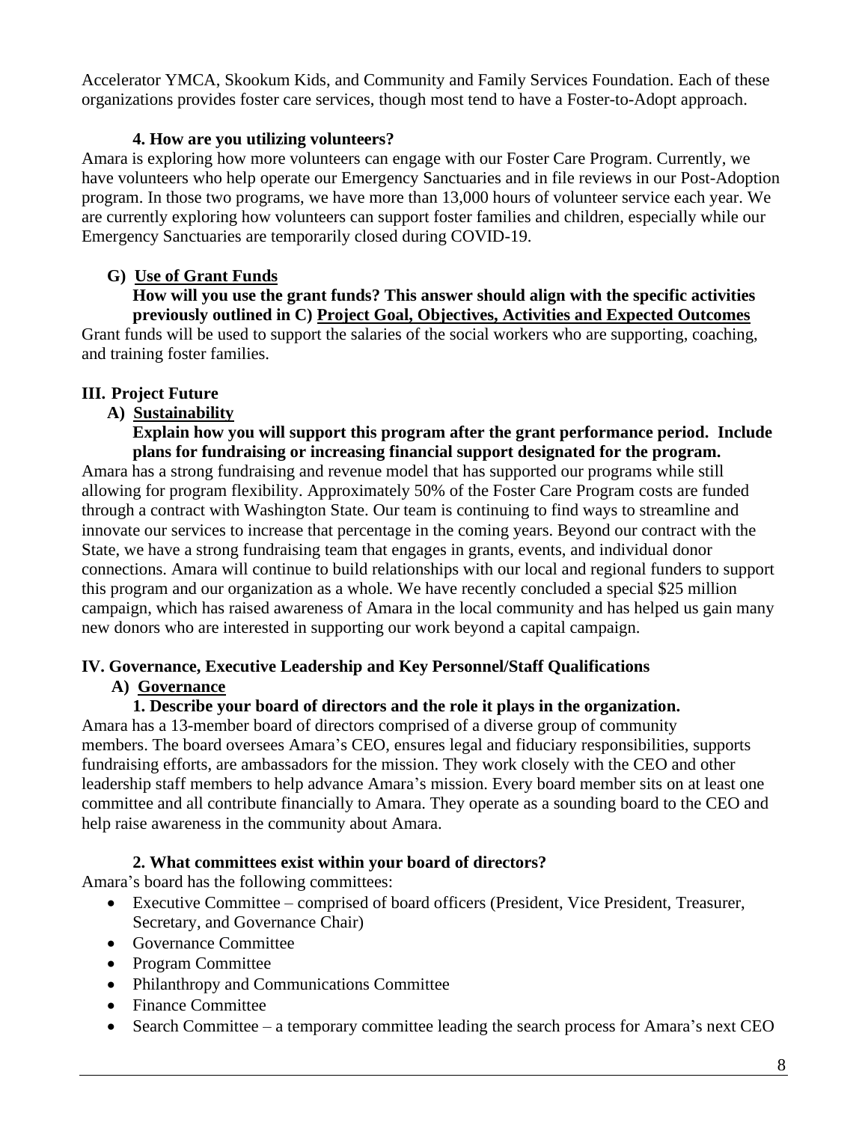Accelerator YMCA, Skookum Kids, and Community and Family Services Foundation. Each of these organizations provides foster care services, though most tend to have a Foster-to-Adopt approach.

#### **4. How are you utilizing volunteers?**

Amara is exploring how more volunteers can engage with our Foster Care Program. Currently, we have volunteers who help operate our Emergency Sanctuaries and in file reviews in our Post-Adoption program. In those two programs, we have more than 13,000 hours of volunteer service each year. We are currently exploring how volunteers can support foster families and children, especially while our Emergency Sanctuaries are temporarily closed during COVID-19.

## **G) Use of Grant Funds**

 **How will you use the grant funds? This answer should align with the specific activities previously outlined in C) Project Goal, Objectives, Activities and Expected Outcomes**

Grant funds will be used to support the salaries of the social workers who are supporting, coaching, and training foster families.

## **III. Project Future**

## **A) Sustainability**

 **Explain how you will support this program after the grant performance period. Include plans for fundraising or increasing financial support designated for the program.**

Amara has a strong fundraising and revenue model that has supported our programs while still allowing for program flexibility. Approximately 50% of the Foster Care Program costs are funded through a contract with Washington State. Our team is continuing to find ways to streamline and innovate our services to increase that percentage in the coming years. Beyond our contract with the State, we have a strong fundraising team that engages in grants, events, and individual donor connections. Amara will continue to build relationships with our local and regional funders to support this program and our organization as a whole. We have recently concluded a special \$25 million campaign, which has raised awareness of Amara in the local community and has helped us gain many new donors who are interested in supporting our work beyond a capital campaign.

#### **IV. Governance, Executive Leadership and Key Personnel/Staff Qualifications A) Governance**

#### **1. Describe your board of directors and the role it plays in the organization.**

Amara has a 13-member board of directors comprised of a diverse group of community members. The board oversees Amara's CEO, ensures legal and fiduciary responsibilities, supports fundraising efforts, are ambassadors for the mission. They work closely with the CEO and other leadership staff members to help advance Amara's mission. Every board member sits on at least one committee and all contribute financially to Amara. They operate as a sounding board to the CEO and help raise awareness in the community about Amara.

## **2. What committees exist within your board of directors?**

Amara's board has the following committees:

- Executive Committee comprised of board officers (President, Vice President, Treasurer, Secretary, and Governance Chair)
- Governance Committee
- Program Committee
- Philanthropy and Communications Committee
- Finance Committee
- Search Committee a temporary committee leading the search process for Amara's next CEO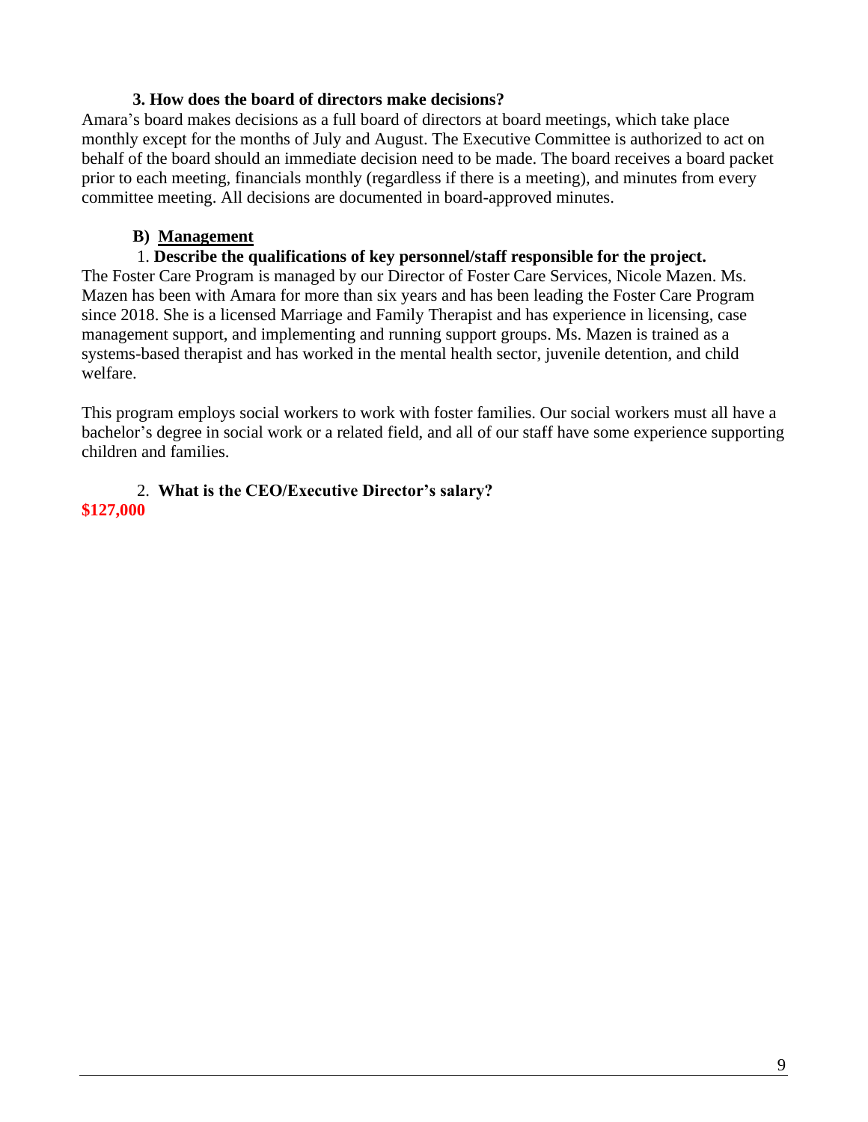#### **3. How does the board of directors make decisions?**

Amara's board makes decisions as a full board of directors at board meetings, which take place monthly except for the months of July and August. The Executive Committee is authorized to act on behalf of the board should an immediate decision need to be made. The board receives a board packet prior to each meeting, financials monthly (regardless if there is a meeting), and minutes from every committee meeting. All decisions are documented in board-approved minutes.

#### **B) Management**

#### 1. **Describe the qualifications of key personnel/staff responsible for the project.**

The Foster Care Program is managed by our Director of Foster Care Services, Nicole Mazen. Ms. Mazen has been with Amara for more than six years and has been leading the Foster Care Program since 2018. She is a licensed Marriage and Family Therapist and has experience in licensing, case management support, and implementing and running support groups. Ms. Mazen is trained as a systems-based therapist and has worked in the mental health sector, juvenile detention, and child welfare.

This program employs social workers to work with foster families. Our social workers must all have a bachelor's degree in social work or a related field, and all of our staff have some experience supporting children and families.

#### 2. **What is the CEO/Executive Director's salary? \$127,000**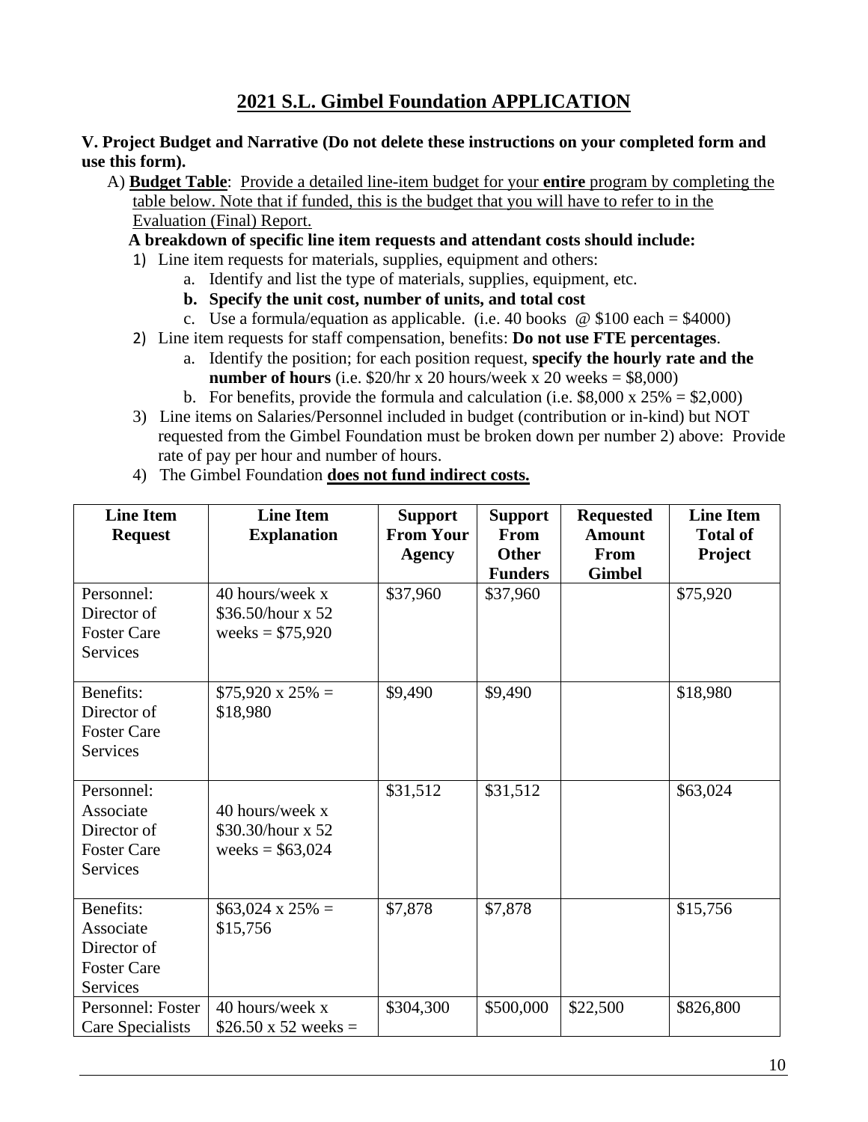#### **V. Project Budget and Narrative (Do not delete these instructions on your completed form and use this form).**

 A) **Budget Table**: Provide a detailed line-item budget for your **entire** program by completing the table below. Note that if funded, this is the budget that you will have to refer to in the Evaluation (Final) Report.

 **A breakdown of specific line item requests and attendant costs should include:**

- 1) Line item requests for materials, supplies, equipment and others:
	- a. Identify and list the type of materials, supplies, equipment, etc.
	- **b. Specify the unit cost, number of units, and total cost**
	- c. Use a formula/equation as applicable. (i.e. 40 books  $\omega$  \$100 each = \$4000)
- 2) Line item requests for staff compensation, benefits: **Do not use FTE percentages**.
	- a. Identify the position; for each position request, **specify the hourly rate and the number of hours** (i.e.  $$20/hr \times 20 hours/week \times 20 weeks = $8,000)$ )
	- b. For benefits, provide the formula and calculation (i.e.  $$8,000 \times 25\% = $2,000$ )
- 3) Line items on Salaries/Personnel included in budget (contribution or in-kind) but NOT requested from the Gimbel Foundation must be broken down per number 2) above: Provide rate of pay per hour and number of hours.

| <b>Line Item</b><br><b>Request</b>                                              | <b>Line Item</b><br><b>Explanation</b>                    | <b>Support</b><br><b>From Your</b><br>Agency | <b>Support</b><br><b>From</b><br><b>Other</b><br><b>Funders</b> | <b>Requested</b><br><b>Amount</b><br>From<br><b>Gimbel</b> | <b>Line Item</b><br><b>Total of</b><br><b>Project</b> |
|---------------------------------------------------------------------------------|-----------------------------------------------------------|----------------------------------------------|-----------------------------------------------------------------|------------------------------------------------------------|-------------------------------------------------------|
| Personnel:<br>Director of<br><b>Foster Care</b><br><b>Services</b>              | 40 hours/week x<br>\$36.50/hour x 52<br>weeks = $$75,920$ | \$37,960                                     | \$37,960                                                        |                                                            | \$75,920                                              |
| Benefits:<br>Director of<br><b>Foster Care</b><br><b>Services</b>               | $$75,920 \times 25\% =$<br>\$18,980                       | \$9,490                                      | \$9,490                                                         |                                                            | \$18,980                                              |
| Personnel:<br>Associate<br>Director of<br><b>Foster Care</b><br><b>Services</b> | 40 hours/week x<br>\$30.30/hour x 52<br>weeks = $$63,024$ | \$31,512                                     | \$31,512                                                        |                                                            | \$63,024                                              |
| Benefits:<br>Associate<br>Director of<br><b>Foster Care</b><br><b>Services</b>  | $$63,024 \times 25\% =$<br>\$15,756                       | \$7,878                                      | \$7,878                                                         |                                                            | \$15,756                                              |
| Personnel: Foster<br>Care Specialists                                           | 40 hours/week x<br>\$26.50 x 52 weeks =                   | \$304,300                                    | \$500,000                                                       | \$22,500                                                   | \$826,800                                             |

4) The Gimbel Foundation **does not fund indirect costs.**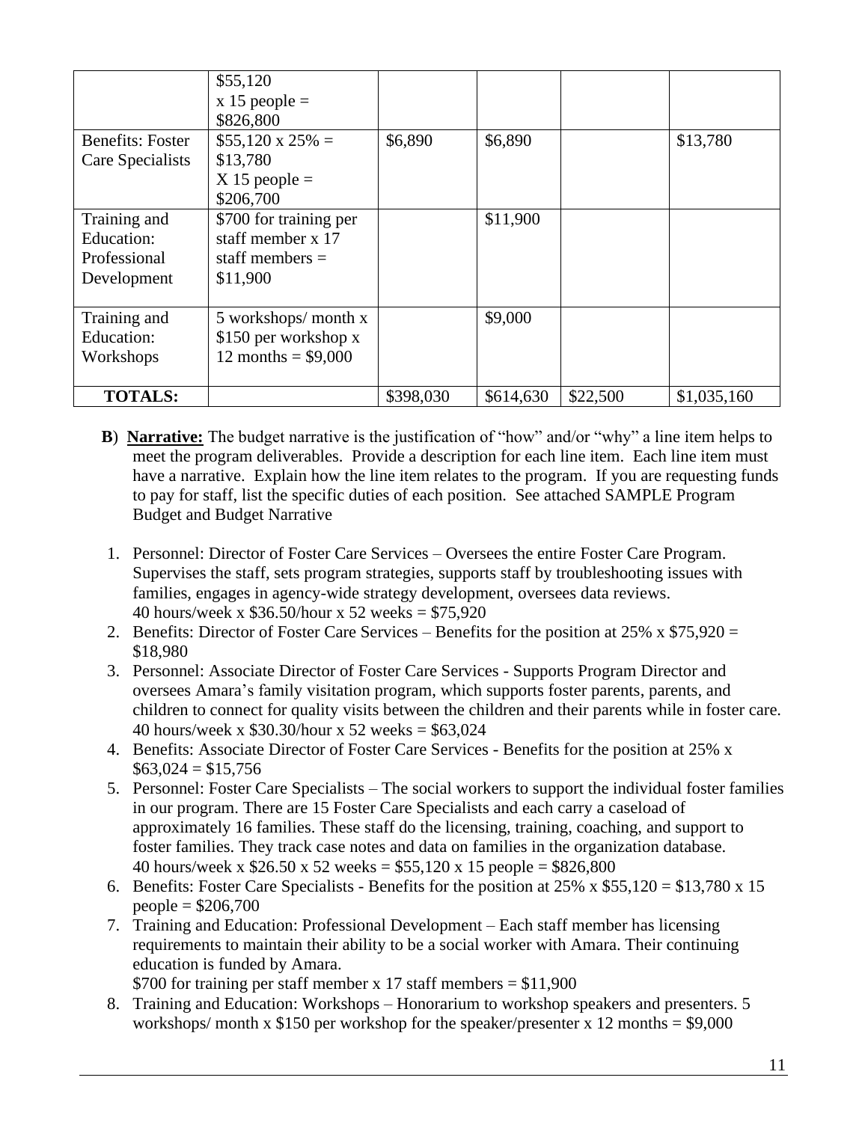|                                                           | \$55,120<br>$x 15$ people =<br>\$826,800                                     |           |           |          |             |
|-----------------------------------------------------------|------------------------------------------------------------------------------|-----------|-----------|----------|-------------|
| <b>Benefits: Foster</b><br>Care Specialists               | $$55,120 \times 25\% =$<br>\$13,780<br>$X$ 15 people =<br>\$206,700          | \$6,890   | \$6,890   |          | \$13,780    |
| Training and<br>Education:<br>Professional<br>Development | \$700 for training per<br>staff member x 17<br>staff members $=$<br>\$11,900 |           | \$11,900  |          |             |
| Training and<br>Education:<br>Workshops                   | $5$ workshops/ month x<br>\$150 per workshop x<br>12 months = $$9,000$       |           | \$9,000   |          |             |
| <b>TOTALS:</b>                                            |                                                                              | \$398,030 | \$614,630 | \$22,500 | \$1,035,160 |

- **B**) **Narrative:** The budget narrative is the justification of "how" and/or "why" a line item helps to meet the program deliverables. Provide a description for each line item. Each line item must have a narrative. Explain how the line item relates to the program. If you are requesting funds to pay for staff, list the specific duties of each position. See attached SAMPLE Program Budget and Budget Narrative
- 1. Personnel: Director of Foster Care Services Oversees the entire Foster Care Program. Supervises the staff, sets program strategies, supports staff by troubleshooting issues with families, engages in agency-wide strategy development, oversees data reviews. 40 hours/week x \$36.50/hour x 52 weeks = \$75,920
- 2. Benefits: Director of Foster Care Services Benefits for the position at  $25\% \times $75,920 =$ \$18,980
- 3. Personnel: Associate Director of Foster Care Services Supports Program Director and oversees Amara's family visitation program, which supports foster parents, parents, and children to connect for quality visits between the children and their parents while in foster care. 40 hours/week x \$30.30/hour x 52 weeks = \$63,024
- 4. Benefits: Associate Director of Foster Care Services Benefits for the position at 25% x  $$63,024 = $15,756$
- 5. Personnel: Foster Care Specialists The social workers to support the individual foster families in our program. There are 15 Foster Care Specialists and each carry a caseload of approximately 16 families. These staff do the licensing, training, coaching, and support to foster families. They track case notes and data on families in the organization database. 40 hours/week x \$26.50 x 52 weeks = \$55,120 x 15 people = \$826,800
- 6. Benefits: Foster Care Specialists Benefits for the position at 25% x \$55,120 = \$13,780 x 15  $people = $206,700$
- 7. Training and Education: Professional Development Each staff member has licensing requirements to maintain their ability to be a social worker with Amara. Their continuing education is funded by Amara.

\$700 for training per staff member x 17 staff members  $= $11,900$ 

8. Training and Education: Workshops – Honorarium to workshop speakers and presenters. 5 workshops/ month x  $$150$  per workshop for the speaker/presenter x 12 months =  $$9,000$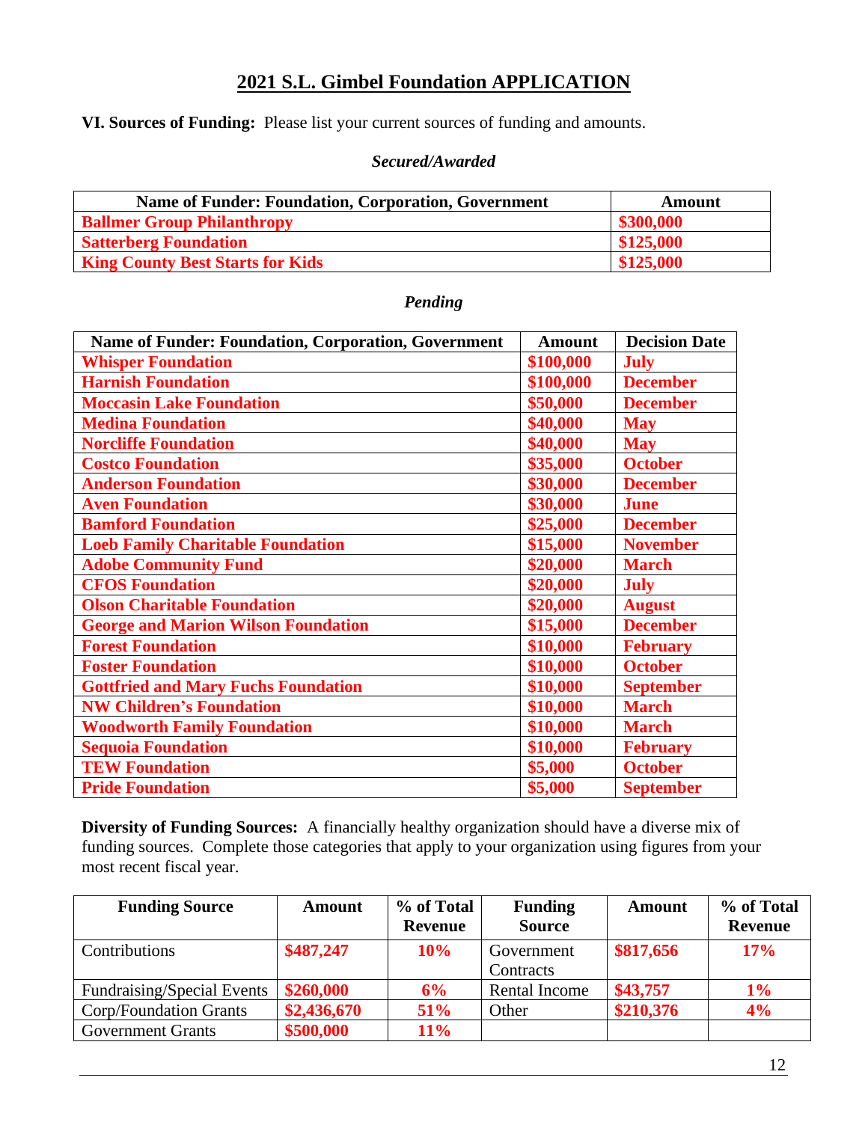**VI. Sources of Funding:** Please list your current sources of funding and amounts.

#### *Secured/Awarded*

| <b>Name of Funder: Foundation, Corporation, Government</b> | Amount    |
|------------------------------------------------------------|-----------|
| <b>Ballmer Group Philanthropy</b>                          | \$300,000 |
| <b>Satterberg Foundation</b>                               | \$125,000 |
| <b>King County Best Starts for Kids</b>                    | \$125,000 |

#### *Pending*

| <b>Name of Funder: Foundation, Corporation, Government</b> | <b>Amount</b> | <b>Decision Date</b> |
|------------------------------------------------------------|---------------|----------------------|
| <b>Whisper Foundation</b>                                  | \$100,000     | <b>July</b>          |
| <b>Harnish Foundation</b>                                  | \$100,000     | <b>December</b>      |
| <b>Moccasin Lake Foundation</b>                            | \$50,000      | <b>December</b>      |
| <b>Medina Foundation</b>                                   | \$40,000      | <b>May</b>           |
| <b>Norcliffe Foundation</b>                                | \$40,000      | <b>May</b>           |
| <b>Costco Foundation</b>                                   | \$35,000      | <b>October</b>       |
| <b>Anderson Foundation</b>                                 | \$30,000      | <b>December</b>      |
| <b>Aven Foundation</b>                                     | \$30,000      | <b>June</b>          |
| <b>Bamford Foundation</b>                                  | \$25,000      | <b>December</b>      |
| <b>Loeb Family Charitable Foundation</b>                   | \$15,000      | <b>November</b>      |
| <b>Adobe Community Fund</b>                                | \$20,000      | <b>March</b>         |
| <b>CFOS Foundation</b>                                     | \$20,000      | <b>July</b>          |
| <b>Olson Charitable Foundation</b>                         | \$20,000      | <b>August</b>        |
| <b>George and Marion Wilson Foundation</b>                 | \$15,000      | <b>December</b>      |
| <b>Forest Foundation</b>                                   | \$10,000      | <b>February</b>      |
| <b>Foster Foundation</b>                                   | \$10,000      | <b>October</b>       |
| <b>Gottfried and Mary Fuchs Foundation</b>                 | \$10,000      | <b>September</b>     |
| <b>NW Children's Foundation</b>                            | \$10,000      | <b>March</b>         |
| <b>Woodworth Family Foundation</b>                         | \$10,000      | <b>March</b>         |
| <b>Sequoia Foundation</b>                                  | \$10,000      | <b>February</b>      |
| <b>TEW Foundation</b>                                      | \$5,000       | <b>October</b>       |
| <b>Pride Foundation</b>                                    | \$5,000       | <b>September</b>     |

**Diversity of Funding Sources:** A financially healthy organization should have a diverse mix of funding sources. Complete those categories that apply to your organization using figures from your most recent fiscal year.

| <b>Funding Source</b>             | <b>Amount</b> | % of Total     | <b>Funding</b> | Amount    | % of Total     |
|-----------------------------------|---------------|----------------|----------------|-----------|----------------|
|                                   |               | <b>Revenue</b> | <b>Source</b>  |           | <b>Revenue</b> |
| Contributions                     | \$487,247     | 10%            | Government     | \$817,656 | 17%            |
|                                   |               |                | Contracts      |           |                |
| <b>Fundraising/Special Events</b> | \$260,000     | 6%             | Rental Income  | \$43,757  | $1\%$          |
| Corp/Foundation Grants            | \$2,436,670   | <b>51%</b>     | Other          | \$210,376 | 4%             |
| <b>Government Grants</b>          | \$500,000     | $11\%$         |                |           |                |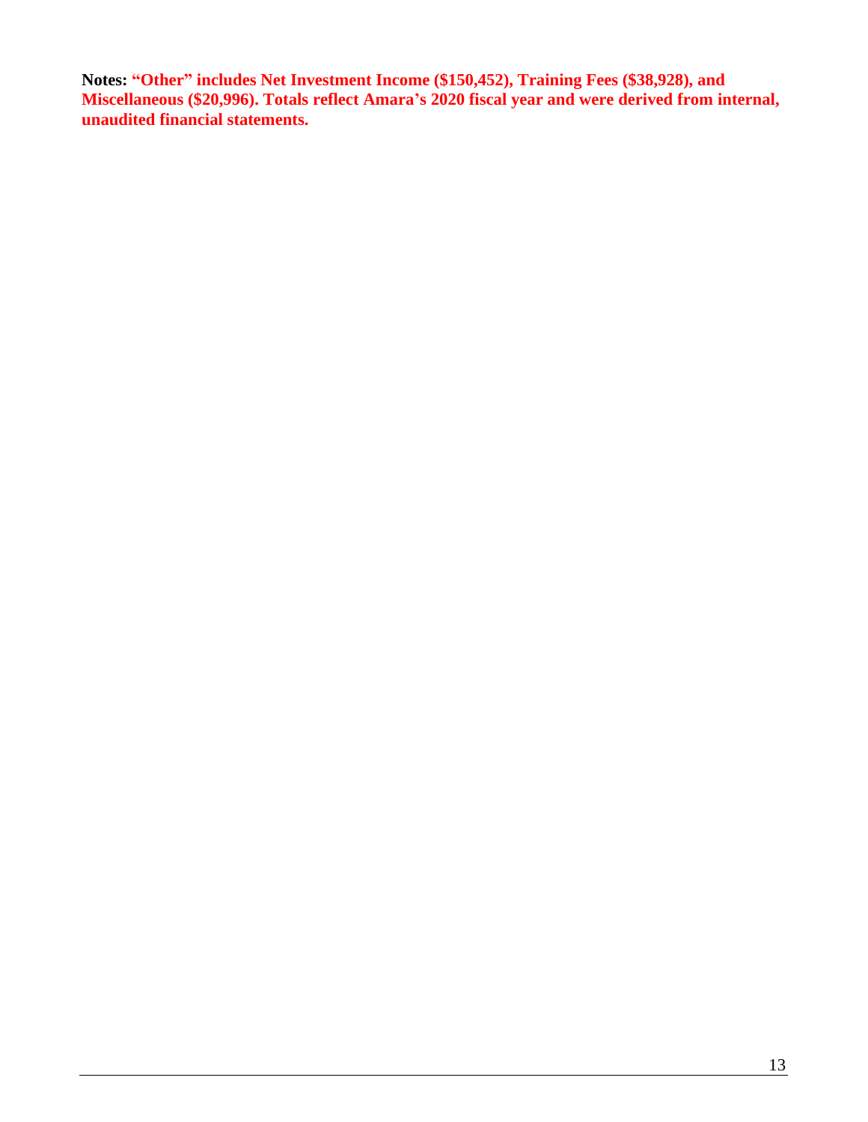**Notes: "Other" includes Net Investment Income (\$150,452), Training Fees (\$38,928), and Miscellaneous (\$20,996). Totals reflect Amara's 2020 fiscal year and were derived from internal, unaudited financial statements.**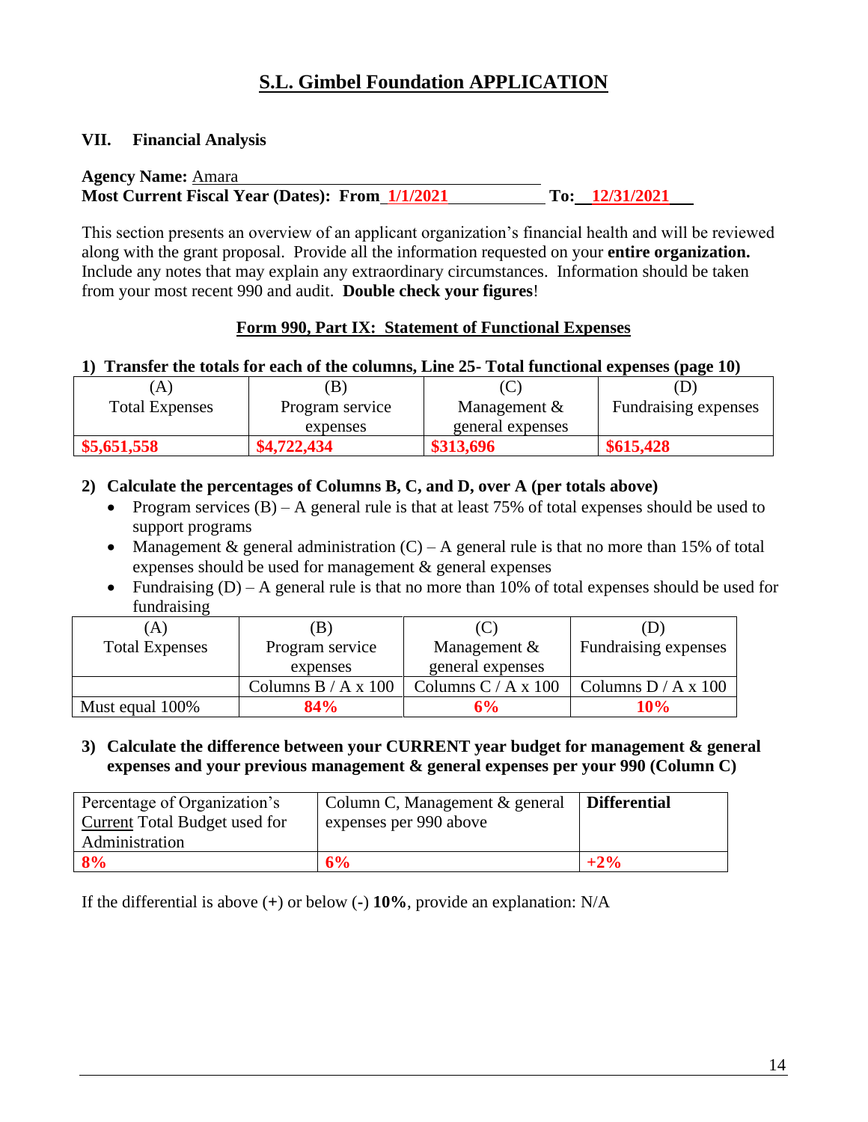#### **VII. Financial Analysis**

| <b>Agency Name: Amara</b>                       |                  |
|-------------------------------------------------|------------------|
| Most Current Fiscal Year (Dates): From 1/1/2021 | To: $12/31/2021$ |

This section presents an overview of an applicant organization's financial health and will be reviewed along with the grant proposal. Provide all the information requested on your **entire organization.**  Include any notes that may explain any extraordinary circumstances. Information should be taken from your most recent 990 and audit. **Double check your figures**!

#### **Form 990, Part IX: Statement of Functional Expenses**

#### **1) Transfer the totals for each of the columns, Line 25- Total functional expenses (page 10)**

| $\mathbf{A}$           |                 |                  |                             |
|------------------------|-----------------|------------------|-----------------------------|
| <b>Total Expenses</b>  | Program service | Management $&$   | <b>Fundraising expenses</b> |
|                        | expenses        | general expenses |                             |
| $\frac{$5,651,558}{ }$ | \$4,722,434     | \$313,696        | \$615,428                   |

#### **2) Calculate the percentages of Columns B, C, and D, over A (per totals above)**

- Program services  $(B)$  A general rule is that at least 75% of total expenses should be used to support programs
- Management & general administration  $(C) A$  general rule is that no more than 15% of total expenses should be used for management & general expenses
- Fundraising  $(D) A$  general rule is that no more than 10% of total expenses should be used for fundraising

| 'A)                   | <b>B</b> )            | (C                    |                       |
|-----------------------|-----------------------|-----------------------|-----------------------|
| <b>Total Expenses</b> | Program service       | Management $&$        | Fundraising expenses  |
|                       | expenses              | general expenses      |                       |
|                       | Columns $B / A x 100$ | Columns $C / A x 100$ | Columns $D / A x 100$ |
| Must equal 100%       | 84%                   | 6%                    | $10\%$                |

#### **3) Calculate the difference between your CURRENT year budget for management & general expenses and your previous management & general expenses per your 990 (Column C)**

| Percentage of Organization's  | Column C, Management & general | <b>Differential</b> |
|-------------------------------|--------------------------------|---------------------|
| Current Total Budget used for | expenses per 990 above         |                     |
| Administration                |                                |                     |
| 8%                            | 6%                             |                     |

If the differential is above (**+**) or below (**-**) **10%**, provide an explanation: N/A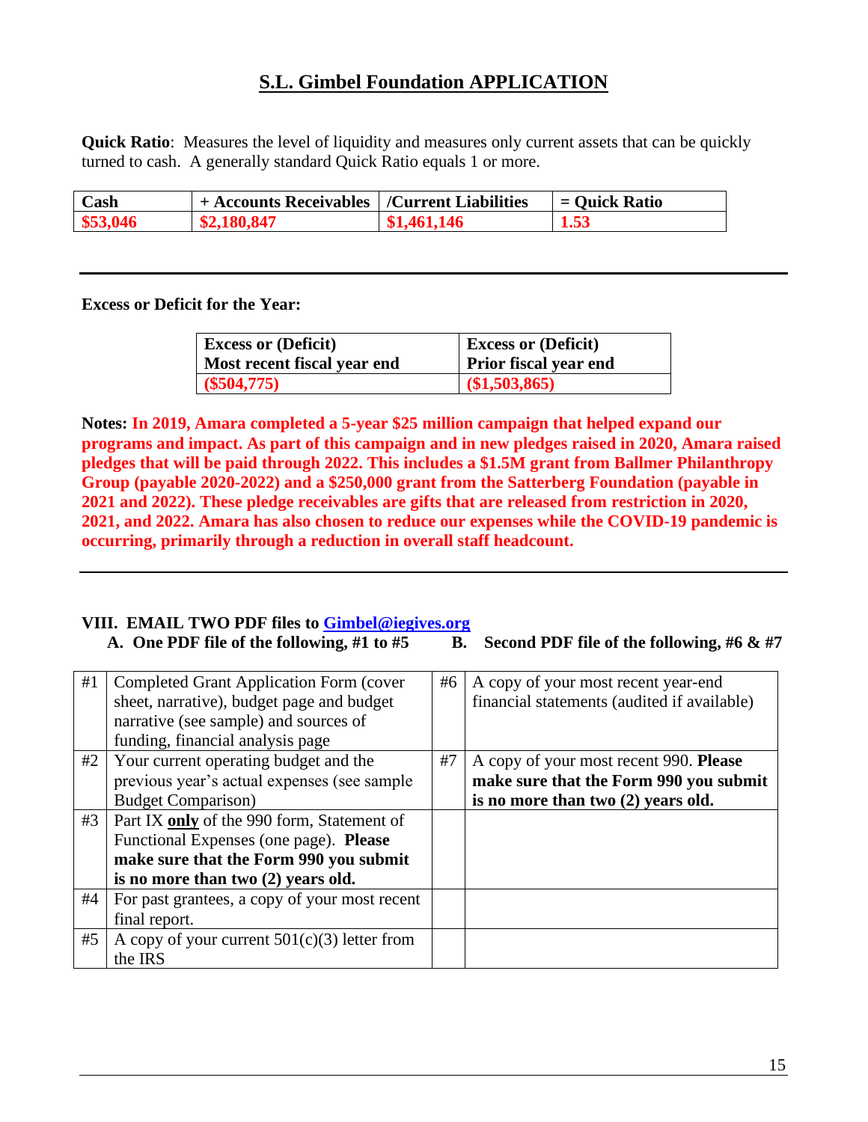**Quick Ratio**: Measures the level of liquidity and measures only current assets that can be quickly turned to cash. A generally standard Quick Ratio equals 1 or more.

| Cash     | <sup>1</sup> + Accounts Receivables   /Current Liabilities |             | $=$ Ouick Ratio |
|----------|------------------------------------------------------------|-------------|-----------------|
| \$53,046 | \$2,180,847                                                | \$1,461,146 | 1.53            |

**Excess or Deficit for the Year:** 

| <b>Excess or (Deficit)</b>  | <b>Excess or (Deficit)</b> |
|-----------------------------|----------------------------|
| Most recent fiscal year end | Prior fiscal year end      |
| $($ \$504,775)              | (\$1,503,865)              |

**Notes: In 2019, Amara completed a 5-year \$25 million campaign that helped expand our programs and impact. As part of this campaign and in new pledges raised in 2020, Amara raised pledges that will be paid through 2022. This includes a \$1.5M grant from Ballmer Philanthropy Group (payable 2020-2022) and a \$250,000 grant from the Satterberg Foundation (payable in 2021 and 2022). These pledge receivables are gifts that are released from restriction in 2020, 2021, and 2022. Amara has also chosen to reduce our expenses while the COVID-19 pandemic is occurring, primarily through a reduction in overall staff headcount.**

#### **VIII. EMAIL TWO PDF files to [Gimbel@iegives.org](mailto:Gimbel@iegives.org)**

**A. One PDF file of the following, #1 to #5 B. Second PDF file of the following, #6 & #7** 

| #1 | Completed Grant Application Form (cover        | #6 | A copy of your most recent year-end         |
|----|------------------------------------------------|----|---------------------------------------------|
|    | sheet, narrative), budget page and budget      |    | financial statements (audited if available) |
|    | narrative (see sample) and sources of          |    |                                             |
|    | funding, financial analysis page               |    |                                             |
| #2 | Your current operating budget and the          | #7 | A copy of your most recent 990. Please      |
|    | previous year's actual expenses (see sample    |    | make sure that the Form 990 you submit      |
|    | <b>Budget Comparison</b> )                     |    | is no more than two (2) years old.          |
| #3 | Part IX only of the 990 form, Statement of     |    |                                             |
|    | Functional Expenses (one page). Please         |    |                                             |
|    | make sure that the Form 990 you submit         |    |                                             |
|    | is no more than two (2) years old.             |    |                                             |
| #4 | For past grantees, a copy of your most recent  |    |                                             |
|    | final report.                                  |    |                                             |
| #5 | A copy of your current $501(c)(3)$ letter from |    |                                             |
|    | the IRS                                        |    |                                             |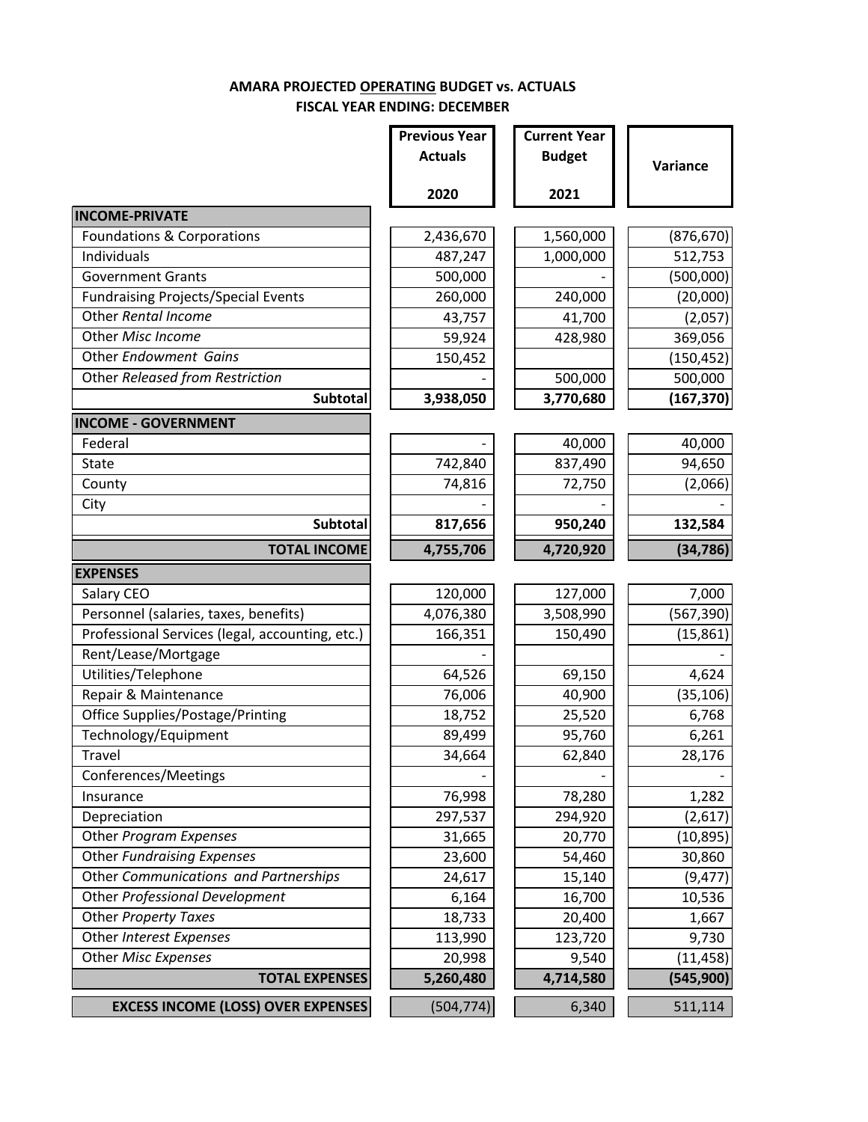#### **AMARA PROJECTED OPERATING BUDGET vs. ACTUALS FISCAL YEAR ENDING: DECEMBER**

|                                                 | <b>Previous Year</b> | <b>Current Year</b> |            |
|-------------------------------------------------|----------------------|---------------------|------------|
|                                                 | <b>Actuals</b>       | <b>Budget</b>       | Variance   |
|                                                 | 2020                 | 2021                |            |
| <b>INCOME-PRIVATE</b>                           |                      |                     |            |
| <b>Foundations &amp; Corporations</b>           | 2,436,670            | 1,560,000           | (876, 670) |
| Individuals                                     | 487,247              | 1,000,000           | 512,753    |
| <b>Government Grants</b>                        | 500,000              |                     | (500,000)  |
| <b>Fundraising Projects/Special Events</b>      | 260,000              | 240,000             | (20,000)   |
| Other Rental Income                             | 43,757               | 41,700              | (2,057)    |
| Other Misc Income                               | 59,924               | 428,980             | 369,056    |
| Other Endowment Gains                           | 150,452              |                     | (150, 452) |
| Other Released from Restriction                 |                      | 500,000             | 500,000    |
| Subtotal                                        | 3,938,050            | 3,770,680           | (167, 370) |
| <b>INCOME - GOVERNMENT</b>                      |                      |                     |            |
| Federal                                         |                      | 40,000              | 40,000     |
| State                                           | 742,840              | 837,490             | 94,650     |
| County                                          | 74,816               | 72,750              | (2,066)    |
| City                                            |                      |                     |            |
| Subtotal                                        | 817,656              | 950,240             | 132,584    |
| <b>TOTAL INCOME</b>                             | 4,755,706            | 4,720,920           | (34, 786)  |
| <b>EXPENSES</b>                                 |                      |                     |            |
| Salary CEO                                      | 120,000              | 127,000             | 7,000      |
| Personnel (salaries, taxes, benefits)           | 4,076,380            | 3,508,990           | (567, 390) |
| Professional Services (legal, accounting, etc.) | 166,351              | 150,490             | (15, 861)  |
| Rent/Lease/Mortgage                             |                      |                     |            |
| Utilities/Telephone                             | 64,526               | 69,150              | 4,624      |
| Repair & Maintenance                            | 76,006               | 40,900              | (35, 106)  |
| Office Supplies/Postage/Printing                | 18,752               | 25,520              | 6,768      |
| Technology/Equipment                            | 89,499               | 95,760              | 6,261      |
| Travel                                          | 34,664               | 62,840              | 28,176     |
| Conferences/Meetings                            |                      |                     |            |
| Insurance                                       | 76,998               | 78,280              | 1,282      |
| Depreciation                                    | 297,537              | 294,920             | (2,617)    |
| Other Program Expenses                          | 31,665               | 20,770              | (10, 895)  |
| Other Fundraising Expenses                      | 23,600               | 54,460              | 30,860     |
| Other Communications and Partnerships           | 24,617               | 15,140              | (9, 477)   |
| Other Professional Development                  | 6,164                | 16,700              | 10,536     |
| <b>Other Property Taxes</b>                     | 18,733               | 20,400              | 1,667      |
| Other Interest Expenses                         | 113,990              | 123,720             | 9,730      |
| Other Misc Expenses                             | 20,998               | 9,540               | (11, 458)  |
| <b>TOTAL EXPENSES</b>                           | 5,260,480            | 4,714,580           | (545,900)  |
| <b>EXCESS INCOME (LOSS) OVER EXPENSES</b>       | (504, 774)           | 6,340               | 511,114    |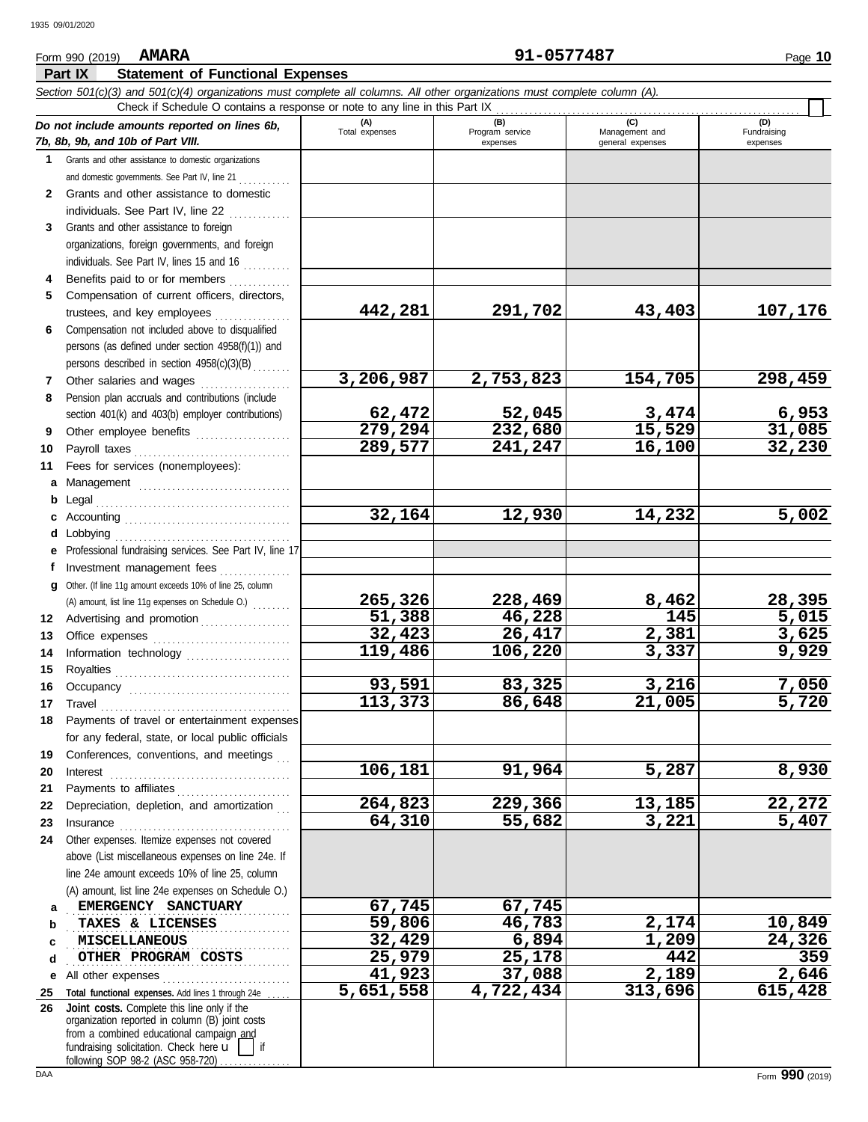#### 91-0577487 Form 990 (2019) **AMARA** Page 10 Part IX **Statement of Functional Expenses** Section 501(c)(3) and 501(c)(4) organizations must complete all columns. All other organizations must complete column (A). Check if Schedule O contains a response or note to any line in this Part IX (A)<br>Total expenses (B)<br>Program service (C)<br>Management and (D)<br>Fundraising Do not include amounts reported on lines 6b, 7b, 8b, 9b, and 10b of Part VIII. expenses general expenses expenses 1 Grants and other assistance to domestic organizations and domestic governments. See Part IV, line 21 ........... Grants and other assistance to domestic  $\overline{2}$ individuals. See Part IV, line 22 3 Grants and other assistance to foreign organizations, foreign governments, and foreign individuals. See Part IV, lines 15 and 16 Benefits paid to or for members ..............  $\mathbf{A}$ Compensation of current officers, directors, 442,281 291,702 43,403 107,176 trustees, and key employees Compensation not included above to disqualified 6 persons (as defined under section 4958(f)(1)) and persons described in section 4958(c)(3)(B) Other salaries and wages ................... 3,206,987 2,753,823 154,705 298,459  $\overline{7}$ 8 Pension plan accruals and contributions (include 62,472 52,045 3,474 6,953 section 401(k) and 403(b) employer contributions) Other employee benefits .................... 279,294 232,680 15,529 31,085  $9^{\circ}$ 289,577 241,247 32,230 16,100  $10<sup>-10</sup>$ Fees for services (nonemployees):  $11$ a Management .................................. **b** Legal and the state of the state of the state of the state of the state of the state of the state of the state of the state of the state of the state of the state of the state of the state of the state of the state of 32,164 12,930 14,232 5,002 e Professional fundraising services. See Part IV, line 17 Investment management fees................ f g Other. (If line 11g amount exceeds 10% of line 25, column 265,326 228,469 8,462 28,395 (A) amount, list line 11g expenses on Schedule O.) 12 Advertising and promotion [11] [11] Advertising and promotion  $5,015$ 51,388 46,228 145 26,417 32,423 2,381 3,625  $13<sup>7</sup>$ 119,486  $14$ Information technology ...................... 106,220 9,929 3,337  $15<sub>1</sub>$ Royalties 93,591 83,325 3,216 7,050  $16$ Occupancy manufactured and contain the contract of the contract of the contract of the contract of the contract of the contract of the contract of the contract of the contract of the contract of the contract of the contrac 5,720 113,373 21,005 86,648  $17$ 18 Payments of travel or entertainment expenses for any federal, state, or local public officials Conferences, conventions, and meetings  $19$ 106,181 91,964 5,287 8,930 20  $\textbf{Interest} \hspace{0.05in} \ldots \hspace{0.05in} \ldots \hspace{0.05in} \ldots \hspace{0.05in} \ldots \hspace{0.05in} \ldots \hspace{0.05in} \ldots \hspace{0.05in} \ldots \hspace{0.05in} \ldots \hspace{0.05in} \ldots \hspace{0.05in} \ldots$ Payments to affiliates ............................  $21$ 22 Depreciation, depletion, and amortization 264,823 229,366 13,185 22,272 64,310 3,221 23 55,682 5,407  $24$ Other expenses. Itemize expenses not covered above (List miscellaneous expenses on line 24e. If line 24e amount exceeds 10% of line 25, column (A) amount, list line 24e expenses on Schedule O.) 67,745 67,745 EMERGENCY SANCTUARY a TAXES & LICENSES 59,806 46,783 2,174 10,849 h 32,429 6,894 1,209 24,326 **MISCELLANEOUS** OTHER PROGRAM COSTS 442 <u>25,979</u> <u>25,178</u> 359  $\mathbf{d}$ 37,088 41,923  $2,189$  $2,646$  $615,428$ 5,651,558 4,722,434 313,696 25 Total functional expenses. Add lines 1 through 24e Joint costs. Complete this line only if the 26 organization reported in column (B) joint costs from a combined educational campaign and fundraising solicitation. Check here u

following SOP 98-2 (ASC 958-720)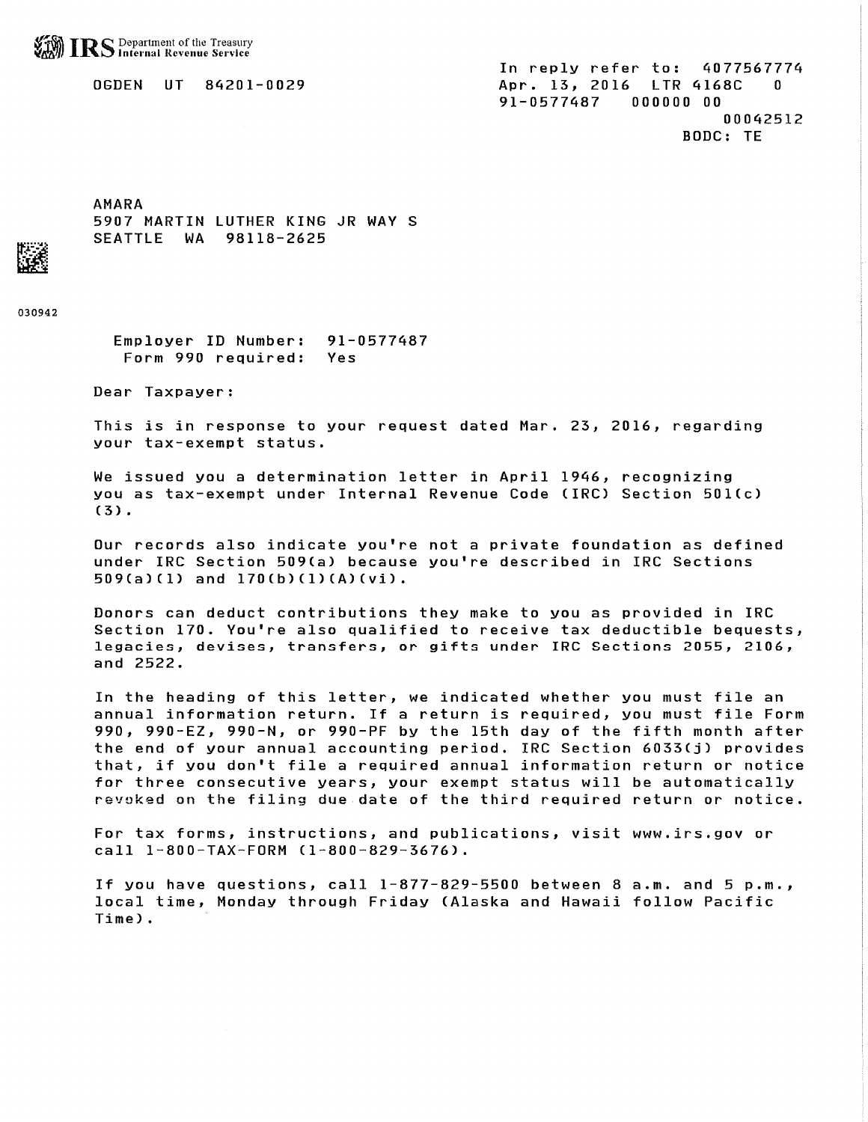**S** Department of the Treasury<br>S Internal Revenue Service

**OGDEN UT 84201-0029** 

**AMARA** 5907 MARTIN LUTHER KING JR WAY S SEATTLE WA 98118-2625

030942

Employer ID Number: 91-0577487 Form 990 required: Yes

Dear Taxpayer:

This is in response to your request dated Mar. 23, 2016, regarding your tax-exempt status.

We issued you a determination letter in April 1946, recognizing you as tax-exempt under Internal Revenue Code (IRC) Section 501(c)  $(3)$ .

Our records also indicate you're not a private foundation as defined under IRC Section 509(a) because you're described in IRC Sections 509(a)(1) and 170(b)(1)(A)(vi).

Donors can deduct contributions they make to you as provided in IRC Section 170. You're also qualified to receive tax deductible bequests, legacies, devises, transfers, or gifts under IRC Sections 2055, 2106, and 2522.

In the heading of this letter, we indicated whether you must file an annual information return. If a return is required, you must file Form 990, 990-EZ, 990-N, or 990-PF by the 15th day of the fifth month after the end of your annual accounting period. IRC Section 6033(j) provides that, if you don't file a required annual information return or notice for three consecutive years, your exempt status will be automatically revoked on the filing due date of the third required return or notice.

For tax forms, instructions, and publications, visit www.irs.gov or call 1-800-TAX-FORM (1-800-829-3676).

If you have questions, call 1-877-829-5500 between 8 a.m. and 5 p.m., local time, Monday through Friday (Alaska and Hawaii follow Pacific Time).